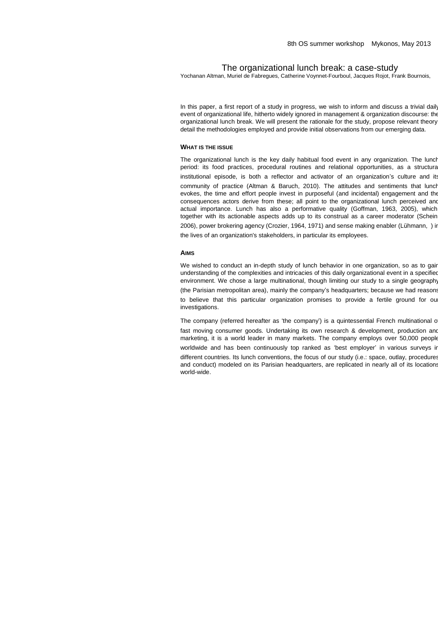# The organizational lunch break: a case-study

Yochanan Altman, Muriel de Fabregues, Catherine Voynnet-Fourboul, Jacques Rojot, Frank Bournois,

In this paper, a first report of a study in progress, we wish to inform and discuss a trivial daily event of organizational life, hitherto widely ignored in management & organization discourse: the organizational lunch break. We will present the rationale for the study, propose relevant theory, detail the methodologies employed and provide initial observations from our emerging data.

## **WHAT IS THE ISSUE**

The organizational lunch is the key daily habitual food event in any organization. The lunch period: its food practices, procedural routines and relational opportunities, as a structural institutional episode, is both a reflector and activator of an organization's culture and its community of practice (Altman & Baruch, 2010). The attitudes and sentiments that lunch evokes, the time and effort people invest in purposeful (and incidental) engagement and the consequences actors derive from these; all point to the organizational lunch perceived and actual importance. Lunch has also a performative quality (Goffman, 1963, 2005), which, together with its actionable aspects adds up to its construal as a career moderator (Schein 2006), power brokering agency (Crozier, 1964, 1971) and sense making enabler (Lühmann, ) ir the lives of an organization's stakeholders, in particular its employees.

# **AIMS**

We wished to conduct an in-depth study of lunch behavior in one organization, so as to gain understanding of the complexities and intricacies of this daily organizational event in a specified environment. We chose a large multinational, though limiting our study to a single geography (the Parisian metropolitan area), mainly the company's headquarters; because we had reasons to believe that this particular organization promises to provide a fertile ground for our investigations.

The company (referred hereafter as 'the company') is a quintessential French multinational of fast moving consumer goods. Undertaking its own research & development, production and marketing, it is a world leader in many markets. The company employs over 50,000 people worldwide and has been continuously top ranked as 'best employer' in various surveys in different countries. Its lunch conventions, the focus of our study (i.e.: space, outlay, procedures and conduct) modeled on its Parisian headquarters, are replicated in nearly all of its locations world-wide.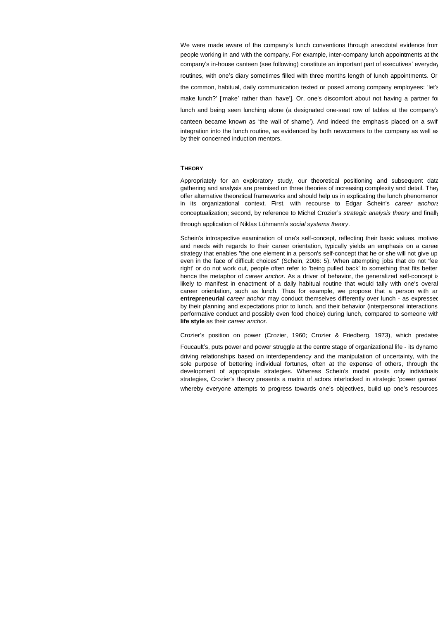We were made aware of the company's lunch conventions through anecdotal evidence from people working in and with the company. For example, inter-company lunch appointments at the company's in-house canteen (see following) constitute an important part of executives' everyday

routines, with one's diary sometimes filled with three months length of lunch appointments. Or the common, habitual, daily communication texted or posed among company employees: 'let's make lunch?' ['make' rather than 'have']. Or, one's discomfort about not having a partner for

lunch and being seen lunching alone (a designated one-seat row of tables at the company's

canteen became known as 'the wall of shame'). And indeed the emphasis placed on a swift integration into the lunch routine, as evidenced by both newcomers to the company as well as by their concerned induction mentors.

# **THEORY**

Appropriately for an exploratory study, our theoretical positioning and subsequent data gathering and analysis are premised on three theories of increasing complexity and detail. They offer alternative theoretical frameworks and should help us in explicating the lunch phenomenon in its organizational context. First, with recourse to Edgar Schein's *career anchors*

conceptualization; second, by reference to Michel Crozier's *strategic analysis theory* and finally

through application of Niklas Lühmann's *social systems theory*.

Schein's introspective examination of one's self-concept, reflecting their basic values, motives and needs with regards to their career orientation, typically yields an emphasis on a caree strategy that enables "the one element in a person's self-concept that he or she will not give up even in the face of difficult choices" (Schein, 2006: 5). When attempting jobs that do not 'fee right' or do not work out, people often refer to 'being pulled back' to something that fits better hence the metaphor of *career anchor*. As a driver of behavior, the generalized self-concept is likely to manifest in enactment of a daily habitual routine that would tally with one's overal career orientation, such as lunch. Thus for example, we propose that a person with an **entrepreneurial** *career anchor* may conduct themselves differently over lunch - as expressed by their planning and expectations prior to lunch, and their behavior (interpersonal interactions performative conduct and possibly even food choice) during lunch, compared to someone with **life style** as their *career anchor*.

Crozier's position on power (Crozier, 1960; Crozier & Friedberg, 1973), which predates

Foucault's, puts power and power struggle at the centre stage of organizational life - its dynamo: driving relationships based on interdependency and the manipulation of uncertainty, with the sole purpose of bettering individual fortunes, often at the expense of others, through the development of appropriate strategies. Whereas Schein's model posits only individuals' strategies, Crozier's theory presents a matrix of actors interlocked in strategic 'power games', whereby everyone attempts to progress towards one's objectives, build up one's resources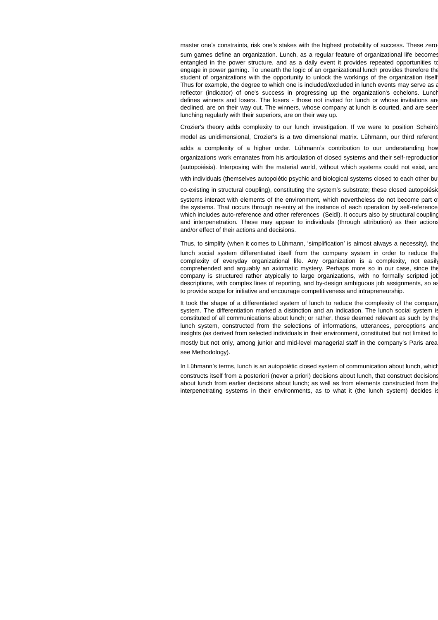master one's constraints, risk one's stakes with the highest probability of success. These zerosum games define an organization. Lunch, as a regular feature of organizational life becomes entangled in the power structure, and as a daily event it provides repeated opportunities to engage in power gaming. To unearth the logic of an organizational lunch provides therefore the student of organizations with the opportunity to unlock the workings of the organization itself. Thus for example, the degree to which one is included/excluded in lunch events may serve as a reflector (indicator) of one's success in progressing up the organization's echelons. Lunch defines winners and losers. The losers - those not invited for lunch or whose invitations are declined, are on their way out. The winners, whose company at lunch is courted, and are seen lunching regularly with their superiors, are on their way up.

Crozier's theory adds complexity to our lunch investigation. If we were to position Schein's model as unidimensional, Crozier's is a two dimensional matrix. Lühmann, our third referent,

adds a complexity of a higher order. Lühmann's contribution to our understanding how organizations work emanates from his articulation of closed systems and their self-reproduction (autopoiésis). Interposing with the material world, without which systems could not exist, and

with individuals (themselves autopoiétic psychic and biological systems closed to each other bu

co-existing in structural coupling), constituting the system's substrate; these closed autopoiésic systems interact with elements of the environment, which nevertheless do not become part of the systems. That occurs through re-entry at the instance of each operation by self-reference which includes auto-reference and other references (Seidl). It occurs also by structural coupling and interpenetration. These may appear to individuals (through attribution) as their actions and/or effect of their actions and decisions.

Thus, to simplify (when it comes to Lühmann, 'simplification' is almost always a necessity), the lunch social system differentiated itself from the company system in order to reduce the complexity of everyday organizational life. Any organization is a complexity, not easily comprehended and arguably an axiomatic mystery. Perhaps more so in our case, since the

company is structured rather atypically to large organizations, with no formally scripted job descriptions, with complex lines of reporting, and by-design ambiguous job assignments, so as to provide scope for initiative and encourage competitiveness and intrapreneurship. It took the shape of a differentiated system of lunch to reduce the complexity of the company

system. The differentiation marked a distinction and an indication. The lunch social system is constituted of all communications about lunch; or rather, those deemed relevant as such by the lunch system, constructed from the selections of informations, utterances, perceptions and insights (as derived from selected individuals in their environment, constituted but not limited to,

mostly but not only, among junior and mid-level managerial staff in the company's Paris area: see Methodology).

In Lühmann's terms, lunch is an autopoiétic closed system of communication about lunch, which constructs itself from a posteriori (never a priori) decisions about lunch, that construct decisions about lunch from earlier decisions about lunch; as well as from elements constructed from the interpenetrating systems in their environments, as to what it (the lunch system) decides is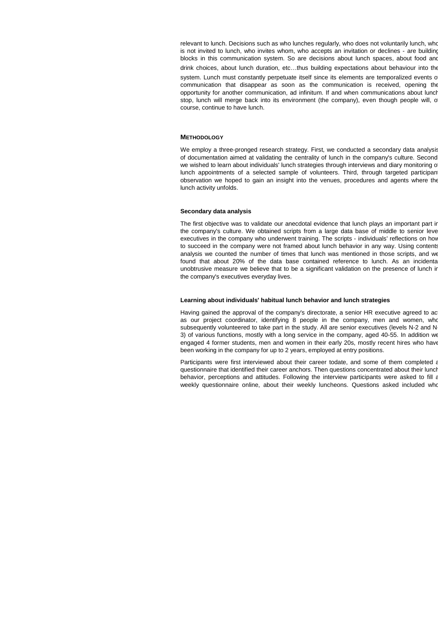relevant to lunch. Decisions such as who lunches regularly, who does not voluntarily lunch, who is not invited to lunch, who invites whom, who accepts an invitation or declines - are building blocks in this communication system. So are decisions about lunch spaces, about food and drink choices, about lunch duration, etc…thus building expectations about behaviour into the system. Lunch must constantly perpetuate itself since its elements are temporalized events of communication that disappear as soon as the communication is received, opening the opportunity for another communication, ad infinitum. If and when communications about lunch stop, lunch will merge back into its environment (the company), even though people will, o course, continue to have lunch.

#### **METHODOLOGY**

We employ a three-pronged research strategy. First, we conducted a secondary data analysis of documentation aimed at validating the centrality of lunch in the company's culture. Second, we wished to learn about individuals' lunch strategies through interviews and diary monitoring o lunch appointments of a selected sample of volunteers. Third, through targeted participan observation we hoped to gain an insight into the venues, procedures and agents where the lunch activity unfolds.

## **Secondary data analysis**

The first objective was to validate our anecdotal evidence that lunch plays an important part in the company's culture. We obtained scripts from a large data base of middle to senior level executives in the company who underwent training. The scripts - individuals' reflections on how to succeed in the company were not framed about lunch behavior in any way. Using contents analysis we counted the number of times that lunch was mentioned in those scripts, and we found that about 20% of the data base contained reference to lunch. As an incidenta unobtrusive measure we believe that to be a significant validation on the presence of lunch in the company's executives everyday lives.

#### **Learning about individuals' habitual lunch behavior and lunch strategies**

Having gained the approval of the company's directorate, a senior HR executive agreed to act as our project coordinator, identifying 8 people in the company, men and women, who subsequently volunteered to take part in the study. All are senior executives (levels N-2 and N-3) of various functions, mostly with a long service in the company, aged 40-55. In addition we engaged 4 former students, men and women in their early 20s, mostly recent hires who have been working in the company for up to 2 years, employed at entry positions.

Participants were first interviewed about their career todate, and some of them completed a questionnaire that identified their career anchors. Then questions concentrated about their lunch behavior, perceptions and attitudes. Following the interview participants were asked to fill a weekly questionnaire online, about their weekly luncheons. Questions asked included who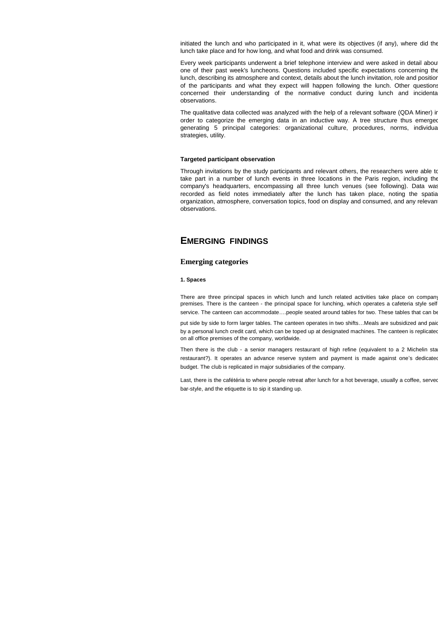initiated the lunch and who participated in it, what were its objectives (if any), where did the lunch take place and for how long, and what food and drink was consumed.

Every week participants underwent a brief telephone interview and were asked in detail about one of their past week's luncheons. Questions included specific expectations concerning the lunch, describing its atmosphere and context, details about the lunch invitation, role and position of the participants and what they expect will happen following the lunch. Other questions concerned their understanding of the normative conduct during lunch and incidental observations.

The qualitative data collected was analyzed with the help of a relevant software (QDA Miner) in order to categorize the emerging data in an inductive way. A tree structure thus emerged generating 5 principal categories: organizational culture, procedures, norms, individual strategies, utility.

# **Targeted participant observation**

Through invitations by the study participants and relevant others, the researchers were able to take part in a number of lunch events in three locations in the Paris region, including the company's headquarters, encompassing all three lunch venues (see following). Data was recorded as field notes immediately after the lunch has taken place, noting the spatial organization, atmosphere, conversation topics, food on display and consumed, and any relevant observations.

# **EMERGING FINDINGS**

# **Emerging categories**

#### **1. Spaces**

There are three principal spaces in which lunch and lunch related activities take place on company premises. There is the canteen - the principal space for lunching, which operates a cafeteria style selfservice. The canteen can accommodate....people seated around tables for two. These tables that can be put side by side to form larger tables. The canteen operates in two shifts...Meals are subsidized and paid by a personal lunch credit card, which can be toped up at designated machines. The canteen is replicated on all office premises of the company, worldwide.

Then there is the club - a senior managers restaurant of high refine (equivalent to a 2 Michelin sta restaurant?). It operates an advance reserve system and payment is made against one's dedicated budget. The club is replicated in major subsidiaries of the company.

Last, there is the cafétéria to where people retreat after lunch for a hot beverage, usually a coffee, served bar-style, and the etiquette is to sip it standing up.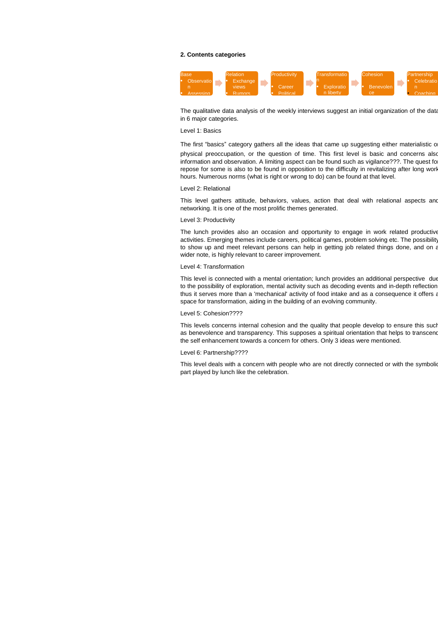## **2. Contents categories**



The qualitative data analysis of the weekly interviews suggest an initial organization of the data in 6 major categories.

#### Level 1: Basics

The first "basics" category gathers all the ideas that came up suggesting either materialistic or physical preoccupation, or the question of time. This first level is basic and concerns also information and observation. A limiting aspect can be found such as vigilance???. The quest fo repose for some is also to be found in opposition to the difficulty in revitalizing after long work hours. Numerous norms (what is right or wrong to do) can be found at that level.

# Level 2: Relational

This level gathers attitude, behaviors, values, action that deal with relational aspects and networking. It is one of the most prolific themes generated.

## Level 3: Productivity

The lunch provides also an occasion and opportunity to engage in work related productive activities. Emerging themes include careers, political games, problem solving etc. The possibility to show up and meet relevant persons can help in getting job related things done, and on a wider note, is highly relevant to career improvement.

#### Level 4: Transformation

This level is connected with a mental orientation; lunch provides an additional perspective due to the possibility of exploration, mental activity such as decoding events and in-depth reflection thus it serves more than a 'mechanical' activity of food intake and as a consequence it offers a space for transformation, aiding in the building of an evolving community.

### Level 5: Cohesion????

This levels concerns internal cohesion and the quality that people develop to ensure this such as benevolence and transparency. This supposes a spiritual orientation that helps to transcend the self enhancement towards a concern for others. Only 3 ideas were mentioned.

## Level 6: Partnership????

This level deals with a concern with people who are not directly connected or with the symbolic part played by lunch like the celebration.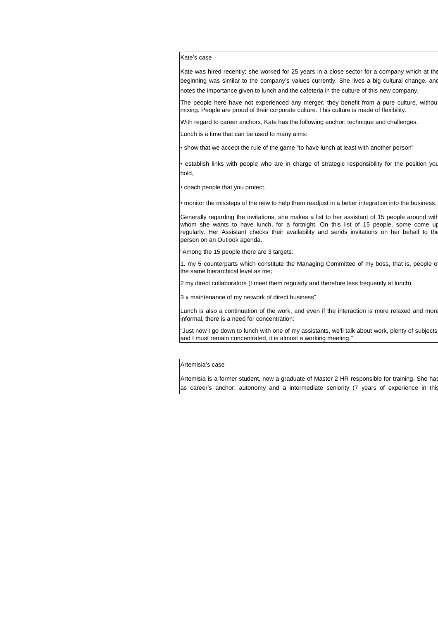# Kate's case

Kate was hired recently; she worked for 25 years in a close sector for a company which at the beginning was similar to the company's values currently. She lives a big cultural change, and notes the importance given to lunch and the cafeteria in the culture of this new company.

The people here have not experienced any merger, they benefit from a pure culture, withou mixing. People are proud of their corporate culture. This culture is made of flexibility.

With regard to career anchors, Kate has the following anchor: technique and challenges.

Lunch is a time that can be used to many aims:

• show that we accept the rule of the game "to have lunch at least with another person"

• establish links with people who are in charge of strategic responsibility for the position you hold,

• coach people that you protect,

• monitor the missteps of the new to help them readjust in a better integration into the business.

Generally regarding the invitations, she makes a list to her assistant of 15 people around with whom she wants to have lunch, for a fortnight. On this list of 15 people, some come up regularly. Her Assistant checks their availability and sends invitations on her behalf to the person on an Outlook agenda.

"Among the 15 people there are 3 targets:

1. my 5 counterparts which constitute the Managing Committee of my boss, that is, people of the same hierarchical level as me;

2 my direct collaborators (I meet them regularly and therefore less frequently at lunch)

3 « maintenance of my network of direct business"

Lunch is also a continuation of the work, and even if the interaction is more relaxed and more informal, there is a need for concentration:

"Just now I go down to lunch with one of my assistants, we'll talk about work, plenty of subjects, and I must remain concentrated, it is almost a working meeting."

## Artemisia's case

Artemisia is a former student, now a graduate of Master 2 HR responsible for training. She has as career's anchor: autonomy and a intermediate seniority (7 years of experience in this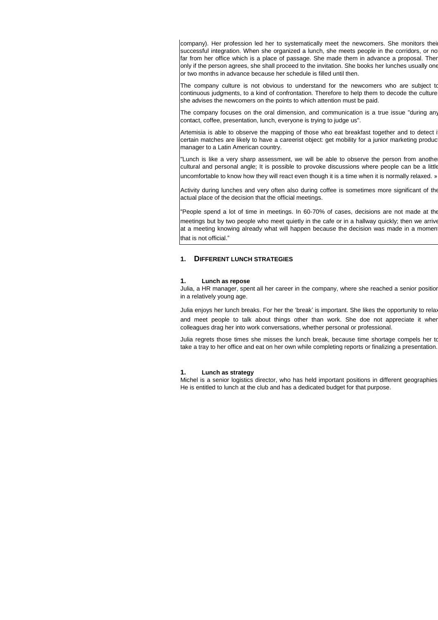company). Her profession led her to systematically meet the newcomers. She monitors their successful integration. When she organized a lunch, she meets people in the corridors, or no far from her office which is a place of passage. She made them in advance a proposal. Then only if the person agrees, she shall proceed to the invitation. She books her lunches usually one or two months in advance because her schedule is filled until then.

The company culture is not obvious to understand for the newcomers who are subject to continuous judgments, to a kind of confrontation. Therefore to help them to decode the culture she advises the newcomers on the points to which attention must be paid.

The company focuses on the oral dimension, and communication is a true issue "during any contact, coffee, presentation, lunch, everyone is trying to judge us".

Artemisia is able to observe the mapping of those who eat breakfast together and to detect i certain matches are likely to have a careerist object: get mobility for a junior marketing produc manager to a Latin American country.

"Lunch is like a very sharp assessment, we will be able to observe the person from anothe cultural and personal angle; It is possible to provoke discussions where people can be a little uncomfortable to know how they will react even though it is a time when it is normally relaxed. »

Activity during lunches and very often also during coffee is sometimes more significant of the actual place of the decision that the official meetings.

"People spend a lot of time in meetings. In 60-70% of cases, decisions are not made at the meetings but by two people who meet quietly in the cafe or in a hallway quickly; then we arrive at a meeting knowing already what will happen because the decision was made in a momen that is not official."

## **1. DIFFERENT LUNCH STRATEGIES**

#### **1. Lunch as repose**

Julia, a HR manager, spent all her career in the company, where she reached a senior position in a relatively young age.

Julia enjoys her lunch breaks. For her the 'break' is important. She likes the opportunity to relax and meet people to talk about things other than work. She doe not appreciate it when colleagues drag her into work conversations, whether personal or professional.

Julia regrets those times she misses the lunch break, because time shortage compels her to take a tray to her office and eat on her own while completing reports or finalizing a presentation.

#### **1. Lunch as strategy**

Michel is a senior logistics director, who has held important positions in different geographies. He is entitled to lunch at the club and has a dedicated budget for that purpose.